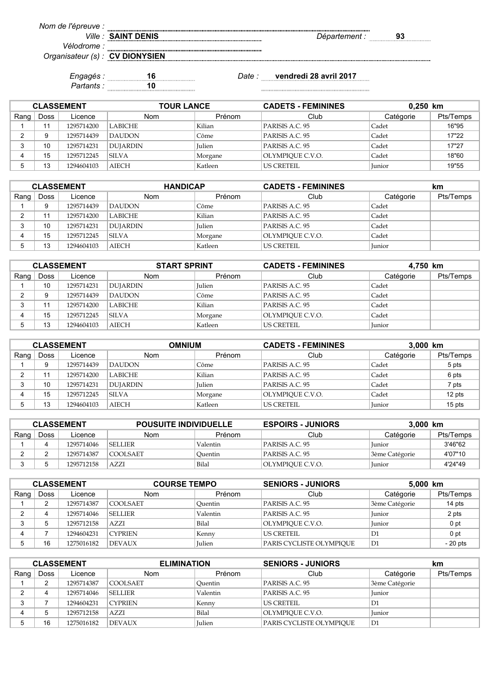*Ville : Département :* **93**

*Nom de l'épreuve : Vélodrome :*

*Organisateur (s) :* **CV DIONYSIEN**

*Partants :* **10**

**SAINT DENIS**

*Engagés :* **16** *Date :* **vendredi 28 avril 2017**

| <b>CLASSEMENT</b> |      |            | <b>TOUR LANCE</b> |               | <b>CADETS - FEMININES</b> | $0,250$ km    |           |
|-------------------|------|------------|-------------------|---------------|---------------------------|---------------|-----------|
| Rang              | Doss | Licence    | Nom               | Prénom        | Club                      | Catégorie     | Pts/Temps |
|                   |      | 1295714200 | <b>LABICHE</b>    | Kilian        | PARISIS A.C. 95           | Cadet         | 16"95     |
|                   | 9    | 1295714439 | <b>DAUDON</b>     | Côme          | PARISIS A.C. 95           | Cadet         | 17"22     |
|                   | 10   | 1295714231 | <b>DUJARDIN</b>   | <b>Iulien</b> | PARISIS A.C. 95           | Cadet         | 17"27     |
|                   | 15   | 1295712245 | <b>SILVA</b>      | Morgane       | OLYMPIOUE C.V.O.          | Cadet         | 18"60     |
|                   | 13   | 1294604103 | AIECH             | Katleen       | US CRETEIL                | <b>Iunior</b> | 19"55     |

| <b>CLASSEMENT</b> |             |            | <b>HANDICAP</b> |               | <b>CADETS - FEMININES</b> |           | km        |
|-------------------|-------------|------------|-----------------|---------------|---------------------------|-----------|-----------|
| Rang              | <b>Doss</b> | Licence    | <b>Nom</b>      | Prénom        | Club                      | Catégorie | Pts/Temps |
|                   |             | 1295714439 | DAUDON          | Côme          | PARISIS A.C. 95           | Cadet     |           |
|                   | 11          | 1295714200 | LABICHE         | Kilian        | PARISIS A.C. 95           | Cadet     |           |
|                   | 10          | 1295714231 | DUJARDIN        | <b>Iulien</b> | PARISIS A.C. 95           | Cadet     |           |
|                   | 15          | 1295712245 | <b>SILVA</b>    | Morgane       | OLYMPIOUE C.V.O.          | Cadet     |           |
|                   | 13          | 1294604103 | <b>AIECH</b>    | Katleen       | US CRETEIL                | Junior    |           |

| <b>CLASSEMENT</b> |             |            | <b>START SPRINT</b> |               | <b>CADETS - FEMININES</b> | 4,750 km  |           |
|-------------------|-------------|------------|---------------------|---------------|---------------------------|-----------|-----------|
| Rang              | <b>Doss</b> | Licence    | <b>Nom</b>          | Prénom        | Club                      | Catégorie | Pts/Temps |
|                   | 10          | 1295714231 | DUJARDIN            | <b>Iulien</b> | PARISIS A.C. 95           | Cadet     |           |
|                   |             | 1295714439 | <b>DAUDON</b>       | Côme          | PARISIS A.C. 95           | Cadet     |           |
|                   |             | 1295714200 | LABICHE             | Kilian        | PARISIS A.C. 95           | Cadet     |           |
|                   | 15          | 1295712245 | <b>SILVA</b>        | Morgane       | OLYMPIOUE C.V.O.          | Cadet     |           |
|                   | 13          | 1294604103 | AIECH               | Katleen       | US CRETEIL                | Junior    |           |

| <b>CLASSEMENT</b> |             |            | <b>MUINNO</b>   |               | <b>CADETS - FEMININES</b> | 3,000 km      |           |
|-------------------|-------------|------------|-----------------|---------------|---------------------------|---------------|-----------|
| Rang              | <b>Doss</b> | Licence    | Nom             | Prénom        | Club                      | Catégorie     | Pts/Temps |
|                   |             | 1295714439 | DAUDON          | Côme          | PARISIS A.C. 95           | Cadet         | 5 pts     |
|                   | 44          | 1295714200 | <b>LABICHE</b>  | Kilian        | PARISIS A.C. 95           | Cadet         | 6 pts     |
|                   | 10          | 1295714231 | <b>DUJARDIN</b> | <b>Julien</b> | PARISIS A.C. 95           | Cadet         | 7 pts     |
|                   | 15          | 1295712245 | <b>SILVA</b>    | Morgane       | OLYMPIOUE C.V.O.          | Cadet         | 12 pts    |
|                   | 13          | 1294604103 | AIECH           | Katleen       | LUS CRETEIL               | <b>Iunior</b> | $15$ pts  |

| <b>CLASSEMENT</b> |      |            | <b>POUSUITE INDIVIDUELLE</b> |                 | <b>ESPOIRS - JUNIORS</b><br>3.000 km |                |           |
|-------------------|------|------------|------------------------------|-----------------|--------------------------------------|----------------|-----------|
| Rang              | Doss | Licence    | <b>Nom</b>                   | Prénom          | Club                                 | Catégorie      | Pts/Temps |
|                   | 4    | 1295714046 | <b>SELLIER</b>               | <b>Valentin</b> | PARISIS A.C. 95                      | Junior         | 3'46"62   |
|                   |      | 1295714387 | COOLSAET                     | Ouentin         | PARISIS A.C. 95                      | 3ème Catégorie | 4'07"10   |
|                   |      | 1295712158 | AZZI                         | Bilal           | OLYMPIOUE C.V.O.                     | Junior         | 4'24"49   |

| <b>CLASSEMENT</b> |             |            | <b>COURSE TEMPO</b> |               | <b>SENIORS - JUNIORS</b> | 5,000 km       |           |
|-------------------|-------------|------------|---------------------|---------------|--------------------------|----------------|-----------|
| Rang $ $          | <b>Doss</b> | Licence    | Nom                 | Prénom        | Club                     | Catégorie      | Pts/Temps |
|                   |             | 1295714387 | COOLSAET            | Ouentin       | PARISIS A.C. 95          | 3ème Catégorie | 14 pts    |
|                   |             | 1295714046 | <b>SELLIER</b>      | Valentin      | PARISIS A.C. 95          | <b>Iunior</b>  | 2 pts     |
|                   |             | 1295712158 | AZZI                | Bilal         | OLYMPIOUE C.V.O.         | <b>Iunior</b>  | 0 pt      |
|                   |             | 1294604231 | <b>CYPRIEN</b>      | Kenny         | <b>US CRETEIL</b>        | D1             | 0 pt      |
|                   | 16          | 1275016182 | <b>DEVAUX</b>       | <b>Iulien</b> | PARIS CYCLISTE OLYMPIOUE | D1             | $-20$ pts |

| <b>CLASSEMENT</b> |      |            | <b>ELIMINATION</b> |               | <b>SENIORS - JUNIORS</b> |                | km        |
|-------------------|------|------------|--------------------|---------------|--------------------------|----------------|-----------|
| Rang              | Doss | Licence    | <b>Nom</b>         | Prénom        | Club                     | Catégorie      | Pts/Temps |
|                   |      | 1295714387 | COOLSAET           | Ouentin       | PARISIS A.C. 95          | 3ème Catégorie |           |
|                   | д    | 1295714046 | <b>SELLIER</b>     | Valentin      | PARISIS A.C. 95          | Iunior         |           |
|                   |      | 1294604231 | <b>CYPRIEN</b>     | Kenny         | <b>US CRETEIL</b>        | D1             |           |
|                   |      | 1295712158 | AZZI               | Bilal         | OLYMPIOUE C.V.O.         | <b>Iunior</b>  |           |
|                   | 16   | 1275016182 | <b>DEVAUX</b>      | <b>Iulien</b> | PARIS CYCLISTE OLYMPIOUE | D1             |           |